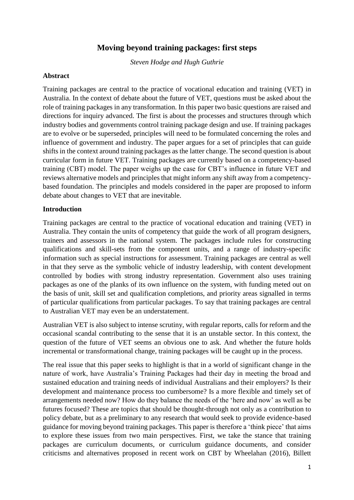# **Moving beyond training packages: first steps**

*Steven Hodge and Hugh Guthrie*

#### **Abstract**

Training packages are central to the practice of vocational education and training (VET) in Australia. In the context of debate about the future of VET, questions must be asked about the role of training packages in any transformation. In this paper two basic questions are raised and directions for inquiry advanced. The first is about the processes and structures through which industry bodies and governments control training package design and use. If training packages are to evolve or be superseded, principles will need to be formulated concerning the roles and influence of government and industry. The paper argues for a set of principles that can guide shifts in the context around training packages as the latter change. The second question is about curricular form in future VET. Training packages are currently based on a competency-based training (CBT) model. The paper weighs up the case for CBT's influence in future VET and reviews alternative models and principles that might inform any shift away from a competencybased foundation. The principles and models considered in the paper are proposed to inform debate about changes to VET that are inevitable.

#### **Introduction**

Training packages are central to the practice of vocational education and training (VET) in Australia. They contain the units of competency that guide the work of all program designers, trainers and assessors in the national system. The packages include rules for constructing qualifications and skill-sets from the component units, and a range of industry-specific information such as special instructions for assessment. Training packages are central as well in that they serve as the symbolic vehicle of industry leadership, with content development controlled by bodies with strong industry representation. Government also uses training packages as one of the planks of its own influence on the system, with funding meted out on the basis of unit, skill set and qualification completions, and priority areas signalled in terms of particular qualifications from particular packages. To say that training packages are central to Australian VET may even be an understatement.

Australian VET is also subject to intense scrutiny, with regular reports, calls for reform and the occasional scandal contributing to the sense that it is an unstable sector. In this context, the question of the future of VET seems an obvious one to ask. And whether the future holds incremental or transformational change, training packages will be caught up in the process.

The real issue that this paper seeks to highlight is that in a world of significant change in the nature of work, have Australia's Training Packages had their day in meeting the broad and sustained education and training needs of individual Australians and their employers? Is their development and maintenance process too cumbersome? Is a more flexible and timely set of arrangements needed now? How do they balance the needs of the 'here and now' as well as be futures focused? These are topics that should be thought-through not only as a contribution to policy debate, but as a preliminary to any research that would seek to provide evidence-based guidance for moving beyond training packages. This paper is therefore a 'think piece' that aims to explore these issues from two main perspectives. First, we take the stance that training packages are curriculum documents, or curriculum guidance documents, and consider criticisms and alternatives proposed in recent work on CBT by Wheelahan (2016), Billett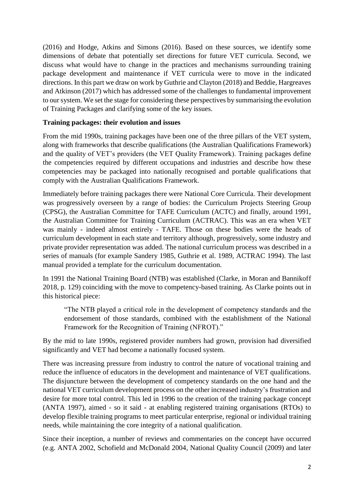(2016) and Hodge, Atkins and Simons (2016). Based on these sources, we identify some dimensions of debate that potentially set directions for future VET curricula. Second, we discuss what would have to change in the practices and mechanisms surrounding training package development and maintenance if VET curricula were to move in the indicated directions. In this part we draw on work by Guthrie and Clayton (2018) and Beddie, Hargreaves and Atkinson (2017) which has addressed some of the challenges to fundamental improvement to our system. We set the stage for considering these perspectives by summarising the evolution of Training Packages and clarifying some of the key issues.

## **Training packages: their evolution and issues**

From the mid 1990s, training packages have been one of the three pillars of the VET system, along with frameworks that describe qualifications (the Australian Qualifications Framework) and the quality of VET's providers (the VET Quality Framework). Training packages define the competencies required by different occupations and industries and describe how these competencies may be packaged into nationally recognised and portable qualifications that comply with the Australian Qualifications Framework.

Immediately before training packages there were National Core Curricula. Their development was progressively overseen by a range of bodies: the Curriculum Projects Steering Group (CPSG), the Australian Committee for TAFE Curriculum (ACTC) and finally, around 1991, the Australian Committee for Training Curriculum (ACTRAC). This was an era when VET was mainly - indeed almost entirely - TAFE. Those on these bodies were the heads of curriculum development in each state and territory although, progressively, some industry and private provider representation was added. The national curriculum process was described in a series of manuals (for example Sandery 1985, Guthrie et al. 1989, ACTRAC 1994). The last manual provided a template for the curriculum documentation.

In 1991 the National Training Board (NTB) was established (Clarke, in Moran and Bannikoff 2018, p. 129) coinciding with the move to competency-based training. As Clarke points out in this historical piece:

"The NTB played a critical role in the development of competency standards and the endorsement of those standards, combined with the establishment of the National Framework for the Recognition of Training (NFROT)."

By the mid to late 1990s, registered provider numbers had grown, provision had diversified significantly and VET had become a nationally focused system.

There was increasing pressure from industry to control the nature of vocational training and reduce the influence of educators in the development and maintenance of VET qualifications. The disjuncture between the development of competency standards on the one hand and the national VET curriculum development process on the other increased industry's frustration and desire for more total control. This led in 1996 to the creation of the training package concept (ANTA 1997), aimed - so it said - at enabling registered training organisations (RTOs) to develop flexible training programs to meet particular enterprise, regional or individual training needs, while maintaining the core integrity of a national qualification.

Since their inception, a number of reviews and commentaries on the concept have occurred (e.g. ANTA 2002, Schofield and McDonald 2004, National Quality Council (2009) and later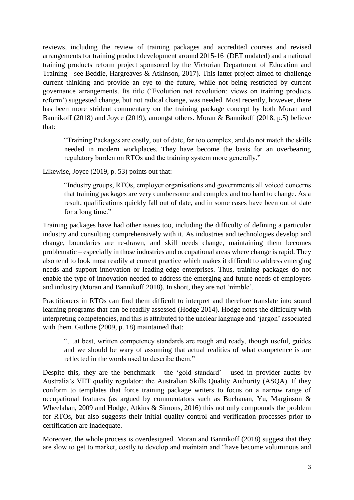reviews, including the review of training packages and accredited courses and revised arrangements for training product development around 2015-16 (DET undated) and a national training products reform project sponsored by the Victorian Department of Education and Training - see Beddie, Hargreaves & Atkinson, 2017). This latter project aimed to challenge current thinking and provide an eye to the future, while not being restricted by current governance arrangements. Its title ('Evolution not revolution: views on training products reform') suggested change, but not radical change, was needed. Most recently, however, there has been more strident commentary on the training package concept by both Moran and Bannikoff (2018) and Joyce (2019), amongst others. Moran & Bannikoff (2018, p.5) believe that:

"Training Packages are costly, out of date, far too complex, and do not match the skills needed in modern workplaces. They have become the basis for an overbearing regulatory burden on RTOs and the training system more generally."

Likewise, Joyce (2019, p. 53) points out that:

"Industry groups, RTOs, employer organisations and governments all voiced concerns that training packages are very cumbersome and complex and too hard to change. As a result, qualifications quickly fall out of date, and in some cases have been out of date for a long time."

Training packages have had other issues too, including the difficulty of defining a particular industry and consulting comprehensively with it. As industries and technologies develop and change, boundaries are re-drawn, and skill needs change, maintaining them becomes problematic – especially in those industries and occupational areas where change is rapid. They also tend to look most readily at current practice which makes it difficult to address emerging needs and support innovation or leading-edge enterprises. Thus, training packages do not enable the type of innovation needed to address the emerging and future needs of employers and industry (Moran and Bannikoff 2018). In short, they are not 'nimble'.

Practitioners in RTOs can find them difficult to interpret and therefore translate into sound learning programs that can be readily assessed (Hodge 2014). Hodge notes the difficulty with interpreting competencies, and this is attributed to the unclear language and 'jargon' associated with them. Guthrie (2009, p. 18) maintained that:

"…at best, written competency standards are rough and ready, though useful, guides and we should be wary of assuming that actual realities of what competence is are reflected in the words used to describe them."

Despite this, they are the benchmark - the 'gold standard' - used in provider audits by Australia's VET quality regulator: the Australian Skills Quality Authority (ASQA). If they conform to templates that force training package writers to focus on a narrow range of occupational features (as argued by commentators such as Buchanan, Yu, Marginson & Wheelahan, 2009 and Hodge, Atkins & Simons, 2016) this not only compounds the problem for RTOs, but also suggests their initial quality control and verification processes prior to certification are inadequate.

Moreover, the whole process is overdesigned. Moran and Bannikoff (2018) suggest that they are slow to get to market, costly to develop and maintain and "have become voluminous and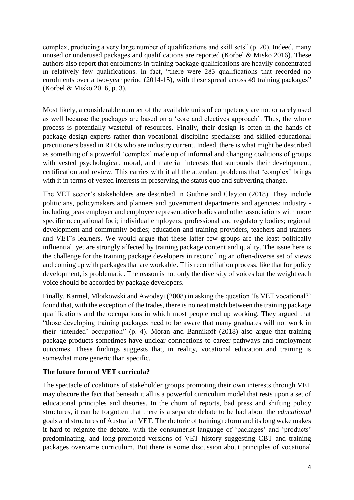complex, producing a very large number of qualifications and skill sets" (p. 20). Indeed, many unused or underused packages and qualifications are reported (Korbel & Misko 2016). These authors also report that enrolments in training package qualifications are heavily concentrated in relatively few qualifications. In fact, "there were 283 qualifications that recorded no enrolments over a two-year period (2014-15), with these spread across 49 training packages" (Korbel & Misko 2016, p. 3).

Most likely, a considerable number of the available units of competency are not or rarely used as well because the packages are based on a 'core and electives approach'. Thus, the whole process is potentially wasteful of resources. Finally, their design is often in the hands of package design experts rather than vocational discipline specialists and skilled educational practitioners based in RTOs who are industry current. Indeed, there is what might be described as something of a powerful 'complex' made up of informal and changing coalitions of groups with vested psychological, moral, and material interests that surrounds their development, certification and review. This carries with it all the attendant problems that 'complex' brings with it in terms of vested interests in preserving the status quo and subverting change.

The VET sector's stakeholders are described in Guthrie and Clayton (2018). They include politicians, policymakers and planners and government departments and agencies; industry including peak employer and employee representative bodies and other associations with more specific occupational foci; individual employers; professional and regulatory bodies; regional development and community bodies; education and training providers, teachers and trainers and VET's learners. We would argue that these latter few groups are the least politically influential, yet are strongly affected by training package content and quality. The issue here is the challenge for the training package developers in reconciling an often-diverse set of views and coming up with packages that are workable. This reconciliation process, like that for policy development, is problematic. The reason is not only the diversity of voices but the weight each voice should be accorded by package developers.

Finally, Karmel, Mlotkowski and Awodeyi (2008) in asking the question 'Is VET vocational?' found that, with the exception of the trades, there is no neat match between the training package qualifications and the occupations in which most people end up working. They argued that "those developing training packages need to be aware that many graduates will not work in their 'intended' occupation" (p. 4). Moran and Bannikoff (2018) also argue that training package products sometimes have unclear connections to career pathways and employment outcomes. These findings suggests that, in reality, vocational education and training is somewhat more generic than specific.

## **The future form of VET curricula?**

The spectacle of coalitions of stakeholder groups promoting their own interests through VET may obscure the fact that beneath it all is a powerful curriculum model that rests upon a set of educational principles and theories. In the churn of reports, bad press and shifting policy structures, it can be forgotten that there is a separate debate to be had about the *educational* goals and structures of Australian VET. The rhetoric of training reform and its long wake makes it hard to reignite the debate, with the consumerist language of 'packages' and 'products' predominating, and long-promoted versions of VET history suggesting CBT and training packages overcame curriculum. But there is some discussion about principles of vocational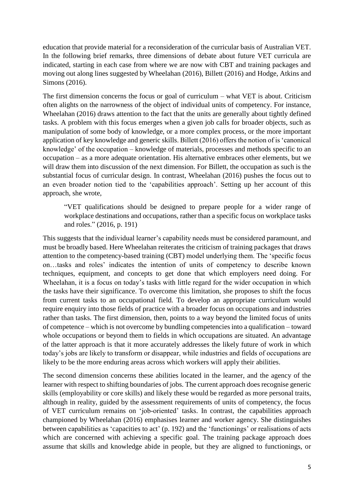education that provide material for a reconsideration of the curricular basis of Australian VET. In the following brief remarks, three dimensions of debate about future VET curricula are indicated, starting in each case from where we are now with CBT and training packages and moving out along lines suggested by Wheelahan (2016), Billett (2016) and Hodge, Atkins and Simons (2016).

The first dimension concerns the focus or goal of curriculum – what VET is about. Criticism often alights on the narrowness of the object of individual units of competency. For instance, Wheelahan (2016) draws attention to the fact that the units are generally about tightly defined tasks. A problem with this focus emerges when a given job calls for broader objects, such as manipulation of some body of knowledge, or a more complex process, or the more important application of key knowledge and generic skills. Billett (2016) offers the notion of is 'canonical knowledge' of the occupation – knowledge of materials, processes and methods specific to an occupation – as a more adequate orientation. His alternative embraces other elements, but we will draw them into discussion of the next dimension. For Billett, the occupation as such is the substantial focus of curricular design. In contrast, Wheelahan (2016) pushes the focus out to an even broader notion tied to the 'capabilities approach'. Setting up her account of this approach, she wrote,

"VET qualifications should be designed to prepare people for a wider range of workplace destinations and occupations, rather than a specific focus on workplace tasks and roles." (2016, p. 191)

This suggests that the individual learner's capability needs must be considered paramount, and must be broadly based. Here Wheelahan reiterates the criticism of training packages that draws attention to the competency-based training (CBT) model underlying them. The 'specific focus on…tasks and roles' indicates the intention of units of competency to describe known techniques, equipment, and concepts to get done that which employers need doing. For Wheelahan, it is a focus on today's tasks with little regard for the wider occupation in which the tasks have their significance. To overcome this limitation, she proposes to shift the focus from current tasks to an occupational field. To develop an appropriate curriculum would require enquiry into those fields of practice with a broader focus on occupations and industries rather than tasks. The first dimension, then, points to a way beyond the limited focus of units of competence – which is not overcome by bundling competencies into a qualification – toward whole occupations or beyond them to fields in which occupations are situated. An advantage of the latter approach is that it more accurately addresses the likely future of work in which today's jobs are likely to transform or disappear, while industries and fields of occupations are likely to be the more enduring areas across which workers will apply their abilities.

The second dimension concerns these abilities located in the learner, and the agency of the learner with respect to shifting boundaries of jobs. The current approach does recognise generic skills (employability or core skills) and likely these would be regarded as more personal traits, although in reality, guided by the assessment requirements of units of competency, the focus of VET curriculum remains on 'job-oriented' tasks. In contrast, the capabilities approach championed by Wheelahan (2016) emphasises learner and worker agency. She distinguishes between capabilities as 'capacities to act' (p. 192) and the 'functionings' or realisations of acts which are concerned with achieving a specific goal. The training package approach does assume that skills and knowledge abide in people, but they are aligned to functionings, or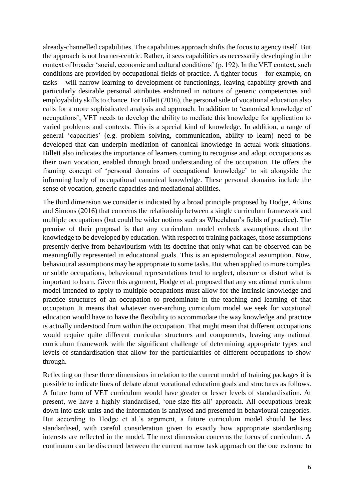already-channelled capabilities. The capabilities approach shifts the focus to agency itself. But the approach is not learner-centric. Rather, it sees capabilities as necessarily developing in the context of broader 'social, economic and cultural conditions' (p. 192). In the VET context, such conditions are provided by occupational fields of practice. A tighter focus – for example, on tasks – will narrow learning to development of functionings, leaving capability growth and particularly desirable personal attributes enshrined in notions of generic competencies and employability skills to chance. For Billett (2016), the personal side of vocational education also calls for a more sophisticated analysis and approach. In addition to 'canonical knowledge of occupations', VET needs to develop the ability to mediate this knowledge for application to varied problems and contexts. This is a special kind of knowledge. In addition, a range of general 'capacities' (e.g. problem solving, communication, ability to learn) need to be developed that can underpin mediation of canonical knowledge in actual work situations. Billett also indicates the importance of learners coming to recognise and adopt occupations as their own vocation, enabled through broad understanding of the occupation. He offers the framing concept of 'personal domains of occupational knowledge' to sit alongside the informing body of occupational canonical knowledge. These personal domains include the sense of vocation, generic capacities and mediational abilities.

The third dimension we consider is indicated by a broad principle proposed by Hodge, Atkins and Simons (2016) that concerns the relationship between a single curriculum framework and multiple occupations (but could be wider notions such as Wheelahan's fields of practice). The premise of their proposal is that any curriculum model embeds assumptions about the knowledge to be developed by education. With respect to training packages, those assumptions presently derive from behaviourism with its doctrine that only what can be observed can be meaningfully represented in educational goals. This is an epistemological assumption. Now, behavioural assumptions may be appropriate to some tasks. But when applied to more complex or subtle occupations, behavioural representations tend to neglect, obscure or distort what is important to learn. Given this argument, Hodge et al. proposed that any vocational curriculum model intended to apply to multiple occupations must allow for the intrinsic knowledge and practice structures of an occupation to predominate in the teaching and learning of that occupation. It means that whatever over-arching curriculum model we seek for vocational education would have to have the flexibility to accommodate the way knowledge and practice is actually understood from within the occupation. That might mean that different occupations would require quite different curricular structures and components, leaving any national curriculum framework with the significant challenge of determining appropriate types and levels of standardisation that allow for the particularities of different occupations to show through.

Reflecting on these three dimensions in relation to the current model of training packages it is possible to indicate lines of debate about vocational education goals and structures as follows. A future form of VET curriculum would have greater or lesser levels of standardisation. At present, we have a highly standardised, 'one-size-fits-all' approach. All occupations break down into task-units and the information is analysed and presented in behavioural categories. But according to Hodge et al.'s argument, a future curriculum model should be less standardised, with careful consideration given to exactly how appropriate standardising interests are reflected in the model. The next dimension concerns the focus of curriculum. A continuum can be discerned between the current narrow task approach on the one extreme to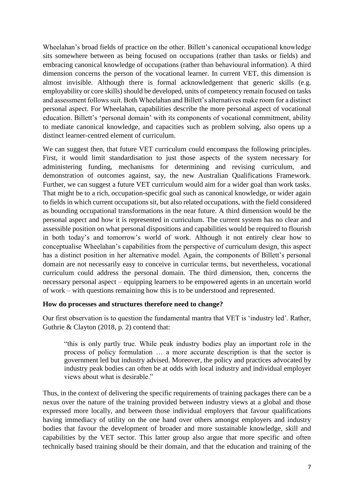Wheelahan's broad fields of practice on the other. Billett's canonical occupational knowledge sits somewhere between as being focused on occupations (rather than tasks or fields) and embracing canonical knowledge of occupations (rather than behavioural information). A third dimension concerns the person of the vocational learner. In current VET, this dimension is almost invisible. Although there is formal acknowledgement that generic skills (e.g. employability or core skills) should be developed, units of competency remain focused on tasks and assessment follows suit. Both Wheelahan and Billett's alternatives make room for a distinct personal aspect. For Wheelahan, capabilities describe the more personal aspect of vocational education. Billett's 'personal domain' with its components of vocational commitment, ability to mediate canonical knowledge, and capacities such as problem solving, also opens up a distinct learner-centred element of curriculum.

We can suggest then, that future VET curriculum could encompass the following principles. First, it would limit standardisation to just those aspects of the system necessary for administering funding, mechanisms for determining and revising curriculum, and demonstration of outcomes against, say, the new Australian Qualifications Framework. Further, we can suggest a future VET curriculum would aim for a wider goal than work tasks. That might be to a rich, occupation-specific goal such as canonical knowledge, or wider again to fields in which current occupations sit, but also related occupations, with the field considered as bounding occupational transformations in the near future. A third dimension would be the personal aspect and how it is represented in curriculum. The current system has no clear and assessible position on what personal dispositions and capabilities would be required to flourish in both today's and tomorrow's world of work. Although it not entirely clear how to conceptualise Wheelahan's capabilities from the perspective of curriculum design, this aspect has a distinct position in her alternative model. Again, the components of Billett's personal domain are not necessarily easy to conceive in curricular terms, but nevertheless, vocational curriculum could address the personal domain. The third dimension, then, concerns the necessary personal aspect – equipping learners to be empowered agents in an uncertain world of work – with questions remaining how this is to be understood and represented.

#### **How do processes and structures therefore need to change?**

Our first observation is to question the fundamental mantra that VET is 'industry led'. Rather, Guthrie & Clayton (2018, p. 2) contend that:

"this is only partly true. While peak industry bodies play an important role in the process of policy formulation … a more accurate description is that the sector is government led but industry advised. Moreover, the policy and practices advocated by industry peak bodies can often be at odds with local industry and individual employer views about what is desirable."

Thus, in the context of delivering the specific requirements of training packages there can be a nexus over the nature of the training provided between industry views at a global and those expressed more locally, and between those individual employers that favour qualifications having immediacy of utility on the one hand over others amongst employers and industry bodies that favour the development of broader and more sustainable knowledge, skill and capabilities by the VET sector. This latter group also argue that more specific and often technically based training should be their domain, and that the education and training of the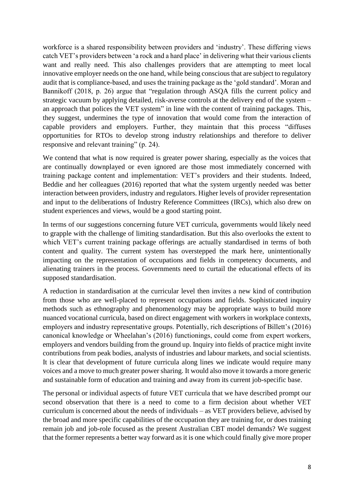workforce is a shared responsibility between providers and 'industry'. These differing views catch VET's providers between 'a rock and a hard place' in delivering what their various clients want and really need. This also challenges providers that are attempting to meet local innovative employer needs on the one hand, while being conscious that are subject to regulatory audit that is compliance-based, and uses the training package as the 'gold standard'. Moran and Bannikoff (2018, p. 26) argue that "regulation through ASQA fills the current policy and strategic vacuum by applying detailed, risk-averse controls at the delivery end of the system – an approach that polices the VET system" in line with the content of training packages. This, they suggest, undermines the type of innovation that would come from the interaction of capable providers and employers. Further, they maintain that this process "diffuses opportunities for RTOs to develop strong industry relationships and therefore to deliver responsive and relevant training" (p. 24).

We contend that what is now required is greater power sharing, especially as the voices that are continually downplayed or even ignored are those most immediately concerned with training package content and implementation: VET's providers and their students. Indeed, Beddie and her colleagues (2016) reported that what the system urgently needed was better interaction between providers, industry and regulators. Higher levels of provider representation and input to the deliberations of Industry Reference Committees (IRCs), which also drew on student experiences and views, would be a good starting point.

In terms of our suggestions concerning future VET curricula, governments would likely need to grapple with the challenge of limiting standardisation. But this also overlooks the extent to which VET's current training package offerings are actually standardised in terms of both content and quality. The current system has overstepped the mark here, unintentionally impacting on the representation of occupations and fields in competency documents, and alienating trainers in the process. Governments need to curtail the educational effects of its supposed standardisation.

A reduction in standardisation at the curricular level then invites a new kind of contribution from those who are well-placed to represent occupations and fields. Sophisticated inquiry methods such as ethnography and phenomenology may be appropriate ways to build more nuanced vocational curricula, based on direct engagement with workers in workplace contexts, employers and industry representative groups. Potentially, rich descriptions of Billett's (2016) canonical knowledge or Wheelahan's (2016) functionings, could come from expert workers, employers and vendors building from the ground up. Inquiry into fields of practice might invite contributions from peak bodies, analysts of industries and labour markets, and social scientists. It is clear that development of future curricula along lines we indicate would require many voices and a move to much greater power sharing. It would also move it towards a more generic and sustainable form of education and training and away from its current job-specific base.

The personal or individual aspects of future VET curricula that we have described prompt our second observation that there is a need to come to a firm decision about whether VET curriculum is concerned about the needs of individuals – as VET providers believe, advised by the broad and more specific capabilities of the occupation they are training for, or does training remain job and job-role focused as the present Australian CBT model demands? We suggest that the former represents a better way forward as it is one which could finally give more proper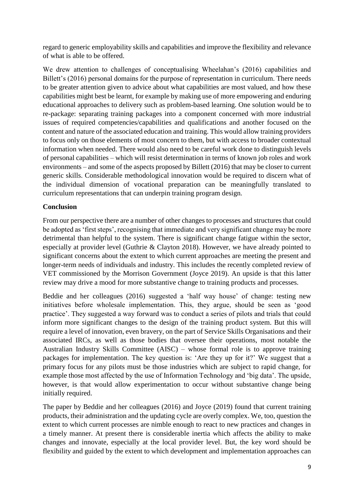regard to generic employability skills and capabilities and improve the flexibility and relevance of what is able to be offered.

We drew attention to challenges of conceptualising Wheelahan's (2016) capabilities and Billett's (2016) personal domains for the purpose of representation in curriculum. There needs to be greater attention given to advice about what capabilities are most valued, and how these capabilities might best be learnt, for example by making use of more empowering and enduring educational approaches to delivery such as problem-based learning. One solution would be to re-package: separating training packages into a component concerned with more industrial issues of required competencies/capabilities and qualifications and another focused on the content and nature of the associated education and training. This would allow training providers to focus only on those elements of most concern to them, but with access to broader contextual information when needed. There would also need to be careful work done to distinguish levels of personal capabilities – which will resist determination in terms of known job roles and work environments – and some of the aspects proposed by Billett (2016) that may be closer to current generic skills. Considerable methodological innovation would be required to discern what of the individual dimension of vocational preparation can be meaningfully translated to curriculum representations that can underpin training program design.

## **Conclusion**

From our perspective there are a number of other changes to processes and structures that could be adopted as 'first steps', recognising that immediate and very significant change may be more detrimental than helpful to the system. There is significant change fatigue within the sector, especially at provider level (Guthrie & Clayton 2018). However, we have already pointed to significant concerns about the extent to which current approaches are meeting the present and longer-term needs of individuals and industry. This includes the recently completed review of VET commissioned by the Morrison Government (Joyce 2019). An upside is that this latter review may drive a mood for more substantive change to training products and processes.

Beddie and her colleagues (2016) suggested a 'half way house' of change: testing new initiatives before wholesale implementation. This, they argue, should be seen as 'good practice'. They suggested a way forward was to conduct a series of pilots and trials that could inform more significant changes to the design of the training product system. But this will require a level of innovation, even bravery, on the part of Service Skills Organisations and their associated IRCs, as well as those bodies that oversee their operations, most notable the Australian Industry Skills Committee (AISC) – whose formal role is to approve training packages for implementation. The key question is: 'Are they up for it?' We suggest that a primary focus for any pilots must be those industries which are subject to rapid change, for example those most affected by the use of Information Technology and 'big data'. The upside, however, is that would allow experimentation to occur without substantive change being initially required.

The paper by Beddie and her colleagues (2016) and Joyce (2019) found that current training products, their administration and the updating cycle are overly complex. We, too, question the extent to which current processes are nimble enough to react to new practices and changes in a timely manner. At present there is considerable inertia which affects the ability to make changes and innovate, especially at the local provider level. But, the key word should be flexibility and guided by the extent to which development and implementation approaches can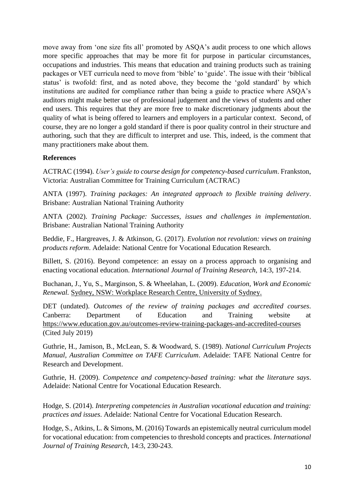move away from 'one size fits all' promoted by ASQA's audit process to one which allows more specific approaches that may be more fit for purpose in particular circumstances, occupations and industries. This means that education and training products such as training packages or VET curricula need to move from 'bible' to 'guide'. The issue with their 'biblical status' is twofold: first, and as noted above, they become the 'gold standard' by which institutions are audited for compliance rather than being a guide to practice where ASQA's auditors might make better use of professional judgement and the views of students and other end users. This requires that they are more free to make discretionary judgments about the quality of what is being offered to learners and employers in a particular context. Second, of course, they are no longer a gold standard if there is poor quality control in their structure and authoring, such that they are difficult to interpret and use. This, indeed, is the comment that many practitioners make about them.

## **References**

ACTRAC (1994). *User's guide to course design for competency-based curriculum*. Frankston, Victoria: Australian Committee for Training Curriculum (ACTRAC)

ANTA (1997). *Training packages: An integrated approach to flexible training delivery*. Brisbane: Australian National Training Authority

ANTA (2002). *Training Package: Successes, issues and challenges in implementation*. Brisbane: Australian National Training Authority

Beddie, F., Hargreaves, J. & Atkinson, G. (2017). *Evolution not revolution: views on training products reform*. Adelaide: National Centre for Vocational Education Research.

Billett, S. (2016). Beyond competence: an essay on a process approach to organising and enacting vocational education. *International Journal of Training Research*, 14:3, 197-214.

Buchanan, J., Yu, S., Marginson, S. & Wheelahan, L. (2009). *Education, Work and Economic Renewal.* Sydney, NSW: Workplace Research Centre, University of Sydney.

DET (undated). *Outcomes of the review of training packages and accredited courses*. Canberra: Department of Education and Training website at <https://www.education.gov.au/outcomes-review-training-packages-and-accredited-courses> (Cited July 2019)

Guthrie, H., Jamison, B., McLean, S. & Woodward, S. (1989). *National Curriculum Projects Manual, Australian Committee on TAFE Curriculum*. Adelaide: TAFE National Centre for Research and Development.

Guthrie, H. (2009). *Competence and competency-based training: what the literature says*. Adelaide: National Centre for Vocational Education Research.

Hodge, S. (2014). *Interpreting competencies in Australian vocational education and training: practices and issues*. Adelaide: National Centre for Vocational Education Research.

Hodge, S., Atkins, L. & Simons, M. (2016) Towards an epistemically neutral curriculum model for vocational education: from competencies to threshold concepts and practices. *International Journal of Training Research*, 14:3, 230-243.